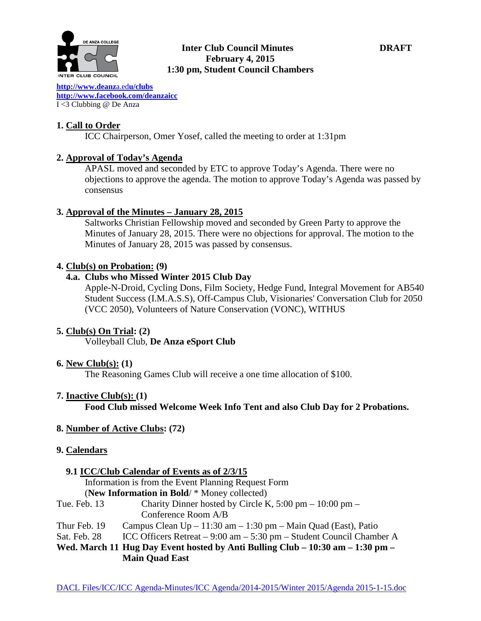

### **Inter Club Council Minutes DRAFT February 4, 2015 1:30 pm, Student Council Chambers**

**[http://www.deanz](http://www.deanza.edu/clubs)**a.ed**u/clubs [http://www.facebook.com/deanzaicc](http://www.facebook.com/home.php%23!/group.php?gid=59034552686)** I <3 Clubbing @ De Anza

## **1. Call to Order**

ICC Chairperson, Omer Yosef, called the meeting to order at 1:31pm

## **2. Approval of Today's Agenda**

APASL moved and seconded by ETC to approve Today's Agenda. There were no objections to approve the agenda. The motion to approve Today's Agenda was passed by consensus

### **3. Approval of the Minutes – January 28, 2015**

Saltworks Christian Fellowship moved and seconded by Green Party to approve the Minutes of January 28, 2015. There were no objections for approval. The motion to the Minutes of January 28, 2015 was passed by consensus.

### **4. Club(s) on Probation: (9)**

## **4.a. Clubs who Missed Winter 2015 Club Day**

Apple-N-Droid, Cycling Dons, Film Society, Hedge Fund, Integral Movement for AB540 Student Success (I.M.A.S.S), Off-Campus Club, Visionaries' Conversation Club for 2050 (VCC 2050), Volunteers of Nature Conservation (VONC), WITHUS

### **5. Club(s) On Trial: (2)**

Volleyball Club, **De Anza eSport Club**

### **6. New Club(s): (1)**

The Reasoning Games Club will receive a one time allocation of \$100.

### **7. Inactive Club(s): (1)**

**Food Club missed Welcome Week Info Tent and also Club Day for 2 Probations.**

# **8. Number of Active Clubs: (72)**

# **9. Calendars**

|                                              | 9.1 ICC/Club Calendar of Events as of 2/3/15                                       |  |  |
|----------------------------------------------|------------------------------------------------------------------------------------|--|--|
|                                              | Information is from the Event Planning Request Form                                |  |  |
| (New Information in Bold/ * Money collected) |                                                                                    |  |  |
| Tue. Feb. 13                                 | Charity Dinner hosted by Circle K, $5:00 \text{ pm} - 10:00 \text{ pm} -$          |  |  |
|                                              | Conference Room A/B                                                                |  |  |
| Thur Feb. 19                                 | Campus Clean $Up - 11:30$ am $- 1:30$ pm $-$ Main Quad (East), Patio               |  |  |
| Sat. Feb. 28                                 | ICC Officers Retreat – 9:00 am – 5:30 pm – Student Council Chamber A               |  |  |
|                                              | Wed. March 11 Hug Day Event hosted by Anti Bulling Club – $10:30$ am – $1:30$ pm – |  |  |
|                                              | <b>Main Quad East</b>                                                              |  |  |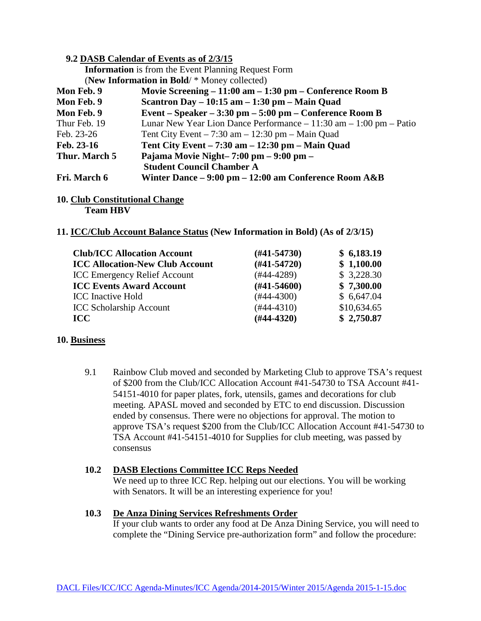#### **9.2 DASB Calendar of Events as of 2/3/15**

 **Information** is from the Event Planning Request Form (**New Information in Bold**/ \* Money collected)

| Mon Feb. 9    | Movie Screening $-11:00$ am $-1:30$ pm $-$ Conference Room B           |
|---------------|------------------------------------------------------------------------|
| Mon Feb. 9    | Scantron Day $-10:15$ am $-1:30$ pm $-$ Main Quad                      |
| Mon Feb. 9    | Event – Speaker – 3:30 pm – 5:00 pm – Conference Room B                |
| Thur Feb. 19  | Lunar New Year Lion Dance Performance $-11:30$ am $-1:00$ pm $-$ Patio |
| Feb. 23-26    | Tent City Event $-7:30$ am $-12:30$ pm $-$ Main Quad                   |
| Feb. 23-16    | Tent City Event $-7:30$ am $-12:30$ pm $-$ Main Quad                   |
| Thur. March 5 | Pajama Movie Night-7:00 pm - 9:00 pm -                                 |
|               | <b>Student Council Chamber A</b>                                       |
| Fri. March 6  | Winter Dance - 9:00 pm - 12:00 am Conference Room A&B                  |

#### **10. Club Constitutional Change**

**Team HBV**

#### **11. ICC/Club Account Balance Status (New Information in Bold) (As of 2/3/15)**

| <b>Club/ICC Allocation Account</b>     | $(\#41 - 54730)$ | \$6,183.19  |
|----------------------------------------|------------------|-------------|
| <b>ICC Allocation-New Club Account</b> | $(#41-54720)$    | \$1,100.00  |
| <b>ICC Emergency Relief Account</b>    | $(#44-4289)$     | \$3,228.30  |
| <b>ICC Events Award Account</b>        | $(H41-54600)$    | \$7,300.00  |
| <b>ICC</b> Inactive Hold               | $(#44-4300)$     | \$6,647.04  |
| <b>ICC Scholarship Account</b>         | $(#44-4310)$     | \$10,634.65 |
| ICC.                                   | $(H44-4320)$     | \$2,750.87  |

### **10. Business**

9.1 Rainbow Club moved and seconded by Marketing Club to approve TSA's request of \$200 from the Club/ICC Allocation Account #41-54730 to TSA Account #41- 54151-4010 for paper plates, fork, utensils, games and decorations for club meeting. APASL moved and seconded by ETC to end discussion. Discussion ended by consensus. There were no objections for approval. The motion to approve TSA's request \$200 from the Club/ICC Allocation Account #41-54730 to TSA Account #41-54151-4010 for Supplies for club meeting, was passed by consensus

# **10.2 DASB Elections Committee ICC Reps Needed**

We need up to three ICC Rep. helping out our elections. You will be working with Senators. It will be an interesting experience for you!

### **10.3 De Anza Dining Services Refreshments Order**

If your club wants to order any food at De Anza Dining Service, you will need to complete the "Dining Service pre-authorization form" and follow the procedure: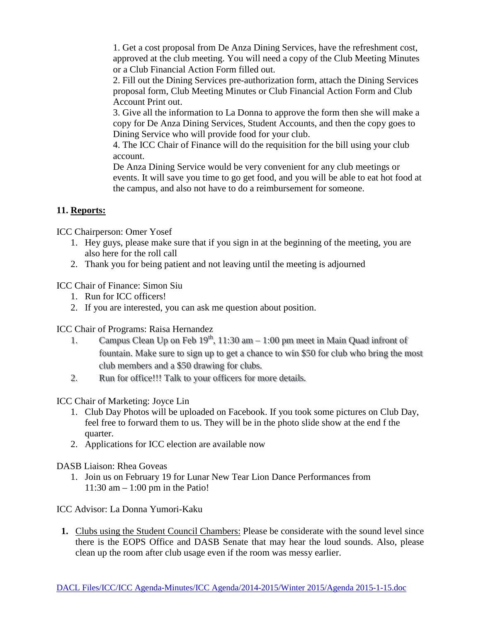1. Get a cost proposal from De Anza Dining Services, have the refreshment cost, approved at the club meeting. You will need a copy of the Club Meeting Minutes or a Club Financial Action Form filled out.

2. Fill out the Dining Services pre-authorization form, attach the Dining Services proposal form, Club Meeting Minutes or Club Financial Action Form and Club Account Print out.

3. Give all the information to La Donna to approve the form then she will make a copy for De Anza Dining Services, Student Accounts, and then the copy goes to Dining Service who will provide food for your club.

4. The ICC Chair of Finance will do the requisition for the bill using your club account.

De Anza Dining Service would be very convenient for any club meetings or events. It will save you time to go get food, and you will be able to eat hot food at the campus, and also not have to do a reimbursement for someone.

# **11. Reports:**

ICC Chairperson: Omer Yosef

- 1. Hey guys, please make sure that if you sign in at the beginning of the meeting, you are also here for the roll call
- 2. Thank you for being patient and not leaving until the meeting is adjourned

ICC Chair of Finance: Simon Siu

- 1. Run for ICC officers!
- 2. If you are interested, you can ask me question about position.

ICC Chair of Programs: Raisa Hernandez

- 1. Campus Clean Up on Feb  $19<sup>th</sup>$ , 11:30 am  $-1:00$  pm meet in Main Quad infront of fountain. Make sure to sign up to get a chance to win \$50 for club who bring the most club members and a \$50 drawing for clubs.
- 2. Run for office!!! Talk to your officers for more details.

ICC Chair of Marketing: Joyce Lin

- 1. Club Day Photos will be uploaded on Facebook. If you took some pictures on Club Day, feel free to forward them to us. They will be in the photo slide show at the end f the quarter.
- 2. Applications for ICC election are available now

DASB Liaison: Rhea Goveas

1. Join us on February 19 for Lunar New Tear Lion Dance Performances from 11:30 am – 1:00 pm in the Patio!

ICC Advisor: La Donna Yumori-Kaku

**1.** Clubs using the Student Council Chambers: Please be considerate with the sound level since there is the EOPS Office and DASB Senate that may hear the loud sounds. Also, please clean up the room after club usage even if the room was messy earlier.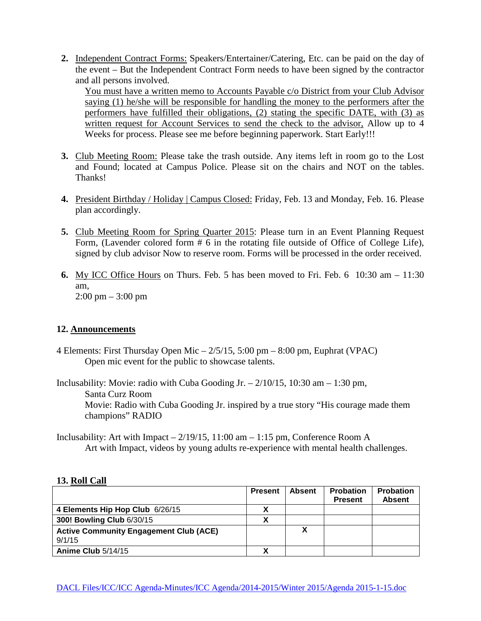**2.** Independent Contract Forms: Speakers/Entertainer/Catering, Etc. can be paid on the day of the event – But the Independent Contract Form needs to have been signed by the contractor and all persons involved.

You must have a written memo to Accounts Payable c/o District from your Club Advisor saying (1) he/she will be responsible for handling the money to the performers after the performers have fulfilled their obligations, (2) stating the specific DATE, with (3) as written request for Account Services to send the check to the advisor, Allow up to 4 Weeks for process. Please see me before beginning paperwork. Start Early!!!

- **3.** Club Meeting Room: Please take the trash outside. Any items left in room go to the Lost and Found; located at Campus Police. Please sit on the chairs and NOT on the tables. Thanks!
- **4.** President Birthday / Holiday | Campus Closed: Friday, Feb. 13 and Monday, Feb. 16. Please plan accordingly.
- **5.** Club Meeting Room for Spring Quarter 2015: Please turn in an Event Planning Request Form, (Lavender colored form # 6 in the rotating file outside of Office of College Life), signed by club advisor Now to reserve room. Forms will be processed in the order received.
- **6.** My ICC Office Hours on Thurs. Feb. 5 has been moved to Fri. Feb. 6 10:30 am 11:30 am, 2:00 pm – 3:00 pm

### **12. Announcements**

4 Elements: First Thursday Open Mic – 2/5/15, 5:00 pm – 8:00 pm, Euphrat (VPAC) Open mic event for the public to showcase talents.

Inclusability: Movie: radio with Cuba Gooding Jr.  $-2/10/15$ , 10:30 am  $-1:30$  pm, Santa Curz Room Movie: Radio with Cuba Gooding Jr. inspired by a true story "His courage made them champions" RADIO

Inclusability: Art with Impact  $-2/19/15$ , 11:00 am  $-1:15$  pm, Conference Room A Art with Impact, videos by young adults re-experience with mental health challenges.

#### **13. Roll Call**

|                                                         | <b>Present</b> | <b>Absent</b> | <b>Probation</b><br><b>Present</b> | <b>Probation</b><br><b>Absent</b> |
|---------------------------------------------------------|----------------|---------------|------------------------------------|-----------------------------------|
| 4 Elements Hip Hop Club 6/26/15                         |                |               |                                    |                                   |
| 300! Bowling Club 6/30/15                               |                |               |                                    |                                   |
| <b>Active Community Engagement Club (ACE)</b><br>9/1/15 |                | v             |                                    |                                   |
| Anime Club 5/14/15                                      |                |               |                                    |                                   |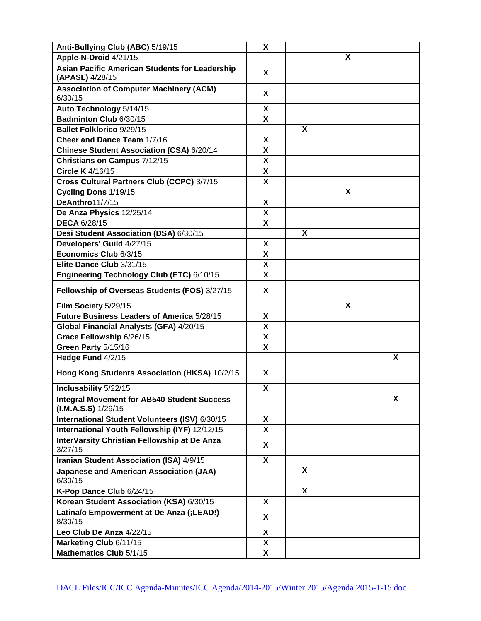| Anti-Bullying Club (ABC) 5/19/15                                            | X                         |   |   |   |
|-----------------------------------------------------------------------------|---------------------------|---|---|---|
| Apple-N-Droid 4/21/15                                                       |                           |   | X |   |
| Asian Pacific American Students for Leadership<br>(APASL) 4/28/15           | X                         |   |   |   |
| <b>Association of Computer Machinery (ACM)</b><br>6/30/15                   | X                         |   |   |   |
| Auto Technology 5/14/15                                                     | X                         |   |   |   |
| Badminton Club 6/30/15                                                      | X                         |   |   |   |
| <b>Ballet Folklorico 9/29/15</b>                                            |                           | X |   |   |
| Cheer and Dance Team 1/7/16                                                 | X                         |   |   |   |
| Chinese Student Association (CSA) 6/20/14                                   | X                         |   |   |   |
| Christians on Campus 7/12/15                                                | X                         |   |   |   |
| <b>Circle K</b> 4/16/15                                                     | $\pmb{\mathsf{X}}$        |   |   |   |
| Cross Cultural Partners Club (CCPC) 3/7/15                                  | X                         |   |   |   |
| Cycling Dons 1/19/15                                                        |                           |   | X |   |
| DeAnthro11/7/15                                                             | X                         |   |   |   |
| De Anza Physics 12/25/14                                                    | $\boldsymbol{\mathsf{X}}$ |   |   |   |
| <b>DECA 6/28/15</b>                                                         | X                         |   |   |   |
| Desi Student Association (DSA) 6/30/15                                      |                           | X |   |   |
| Developers' Guild 4/27/15                                                   | $\pmb{\mathsf{X}}$        |   |   |   |
| Economics Club 6/3/15                                                       | $\pmb{\mathsf{X}}$        |   |   |   |
| Elite Dance Club 3/31/15                                                    | X                         |   |   |   |
| Engineering Technology Club (ETC) 6/10/15                                   | X                         |   |   |   |
| Fellowship of Overseas Students (FOS) 3/27/15                               | X                         |   |   |   |
| Film Society 5/29/15                                                        |                           |   | X |   |
| Future Business Leaders of America 5/28/15                                  | X                         |   |   |   |
| Global Financial Analysts (GFA) 4/20/15                                     | X                         |   |   |   |
| Grace Fellowship 6/26/15                                                    | X                         |   |   |   |
| Green Party 5/15/16                                                         | X                         |   |   |   |
| Hedge Fund 4/2/15                                                           |                           |   |   | X |
| Hong Kong Students Association (HKSA) 10/2/15                               | X                         |   |   |   |
| Inclusability 5/22/15                                                       | X                         |   |   |   |
| <b>Integral Movement for AB540 Student Success</b><br>$(I.M.A.S.S)$ 1/29/15 |                           |   |   | X |
| International Student Volunteers (ISV) 6/30/15                              | X                         |   |   |   |
| International Youth Fellowship (IYF) 12/12/15                               | X                         |   |   |   |
| InterVarsity Christian Fellowship at De Anza<br>3/27/15                     | X                         |   |   |   |
| Iranian Student Association (ISA) 4/9/15                                    | X                         |   |   |   |
| Japanese and American Association (JAA)<br>6/30/15                          |                           | X |   |   |
| K-Pop Dance Club 6/24/15                                                    |                           | X |   |   |
| Korean Student Association (KSA) 6/30/15                                    | X                         |   |   |   |
| Latina/o Empowerment at De Anza (¡LEAD!)<br>8/30/15                         | X                         |   |   |   |
| Leo Club De Anza 4/22/15                                                    | X                         |   |   |   |
| Marketing Club 6/11/15                                                      | X                         |   |   |   |
| Mathematics Club 5/1/15                                                     | X                         |   |   |   |